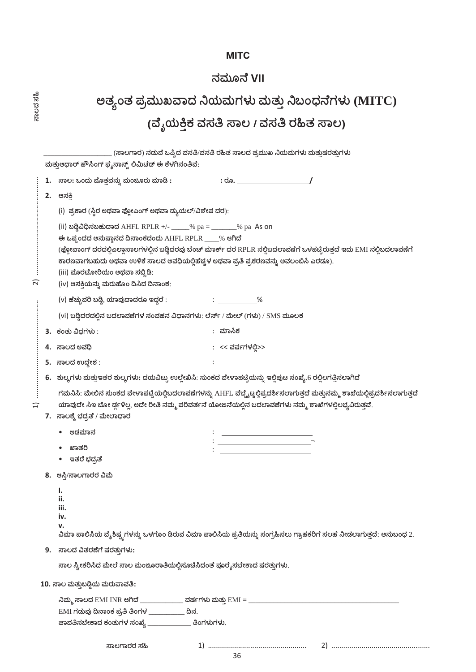# **MITC**

# ನಮೂನೆ VII

ಸಾಲದ ಸಹಿ

| ಅತ್ಯಂತ ಪ್ರಮುಖವಾದ ನಿಯಮಗಳು ಮತ್ತು ನಿಬಂಧನೆಗಳು (MITC) |
|--------------------------------------------------|
| (ವೈಯಕ್ತಿಕ ವಸತಿ ಸಾಲ / ವಸತಿ ರಹಿತ ಸಾಲ)              |

|                         | (ಸಾಲಗಾರ) ನಡುವೆ ಒಪ್ಪಿದ ವಸತಿ/ವಸತಿ ರಹಿತ ಸಾಲದ ಪ್ರಮುಖ ನಿಯಮಗಳು ಮತ್ತುಷರತ್ತುಗಳು<br>ಮತ್ತುಆಧಾರ್ ಹೌಸಿಂಗ್ ಫೈನಾನ್ಸ್ ಲಿಮಿಟೆಡ್ ಈ ಕೆಳಗಿನಂತಿವೆ:                                                                                                                                                                                                                                                                                                                                                |                                                                                                                                                                                                                                                                     |  |  |  |
|-------------------------|-------------------------------------------------------------------------------------------------------------------------------------------------------------------------------------------------------------------------------------------------------------------------------------------------------------------------------------------------------------------------------------------------------------------------------------------------------------------------------|---------------------------------------------------------------------------------------------------------------------------------------------------------------------------------------------------------------------------------------------------------------------|--|--|--|
|                         | 1.                                                                                                                                                                                                                                                                                                                                                                                                                                                                            | ಸಾಲ: ಒಂದು ಮೊತ್ತವನ್ನು ಮಂಜೂರು ಮಾಡಿ :                                                                                                                                                                                                                                  |  |  |  |
|                         | 2.                                                                                                                                                                                                                                                                                                                                                                                                                                                                            | ಆಸಕಿ                                                                                                                                                                                                                                                                |  |  |  |
|                         | (i)  ಪ್ರಕಾರ (ಸ್ಥಿರ ಅಥವಾ ಫ್ಲೋಎಂಗ್ ಅಥವಾ ಡ್ಯುಯಲ್/ವಿಶೇಷ ದರ):<br>(ii) ಬಡ್ಡಿವಿಧಿಸಬಹುದಾದ AHFL RPLR +/- ____% pa = ______% pa As on<br>ಈ ಒಪ್ಪಂದದ ಅನುಷ್ಠಾನದ ದಿನಾಂಕದಂದು AHFL RPLR ____% ಆಗಿದೆ<br>(ಫ್ಲೋವಾಂಗ್ ದರದಲ್ಲಿಎಲ್ಲಾಸಾಲಗಳಲ್ಲಿನ ಬಡ್ಡಿದರವು ಬೆಂಚ್ ಮಾರ್ಕ್ ದರ RPLR ನಲ್ಲಿಬದಲಾವಣೆಗೆ ಒಳಪಟ್ಟಿರುತ್ತದೆ ಇದು EMI ನಲ್ಲಿಬದಲಾವಣೆಗೆ<br>ಕಾರಣವಾಗಬಹುದು ಅಥವಾ ಉಳಿಕೆ ಸಾಲದ ಅವಧಿಯಲ್ಲಿಹೆಚ್ಚಳ ಅಥವಾ ಪ್ರತಿ ಪ್ರಕರಣವನ್ನು ಅವಲಂಬಿಸಿ ಎರಡೂ).<br>(iii) ಮೊರಟೋರಿಯಂ ಅಥವಾ ಸಬ್ಬಿಡಿ:<br>(iv) ಆಸಕ್ತಿಯನ್ನು ಮರುಹೊಂ ದಿಸಿದ ದಿನಾಂಕ: |                                                                                                                                                                                                                                                                     |  |  |  |
| ัส                      |                                                                                                                                                                                                                                                                                                                                                                                                                                                                               |                                                                                                                                                                                                                                                                     |  |  |  |
|                         |                                                                                                                                                                                                                                                                                                                                                                                                                                                                               | (v) ಹೆಚ್ಚುವರಿ ಬಡ್ಡಿ, ಯಾವುದಾದರೂ ಇದ್ದರೆ :<br>$\sim$ $\sim$ $\sim$ $\sim$ $\sim$ $\sim$                                                                                                                                                                                |  |  |  |
|                         |                                                                                                                                                                                                                                                                                                                                                                                                                                                                               | (vi) ಬಡ್ಡಿದರದಲ್ಲಿನ ಬದಲಾವಣೆಗಳ ಸಂವಹನ ವಿಧಾನಗಳು: ಲೆರ್ಸ್ / ಮೇಲ್ (ಗಳು) / SMS ಮೂಲಕ                                                                                                                                                                                         |  |  |  |
|                         |                                                                                                                                                                                                                                                                                                                                                                                                                                                                               | : ಮಾಸಿಕ<br>3. ಕಂತು ವಿಧಗಳು :                                                                                                                                                                                                                                         |  |  |  |
|                         | 4.                                                                                                                                                                                                                                                                                                                                                                                                                                                                            | : << ವರ್ಷಗಳಲ್ಲಿ>><br>ಸಾಲದ ಅವಧಿ                                                                                                                                                                                                                                      |  |  |  |
|                         |                                                                                                                                                                                                                                                                                                                                                                                                                                                                               | 5. ಸಾಲದ ಉದ್ದೇಶ:                                                                                                                                                                                                                                                     |  |  |  |
|                         |                                                                                                                                                                                                                                                                                                                                                                                                                                                                               | 6.   ಶುಲ್ಕಗಳು ಮತ್ತುಇತರ ಶುಲ್ಕಗಳು: ದಯವಿಟ್ಟು ಉಲ್ಲೇಖಿಸಿ: ಸುಂಕದ ವೇಳಾಪಟ್ಟಿಯನ್ನು ಇಲ್ಲಿಪುಟ ಸಂಖ್ಯೆ.6 ರಲ್ಲಿಲಗತ್ತಿಸಲಾಗಿದೆ                                                                                                                                                      |  |  |  |
| $\overline{\mathbf{H}}$ |                                                                                                                                                                                                                                                                                                                                                                                                                                                                               | ಗಮನಿಸಿ: ಮೇಲಿನ ಸುಂಕದ ವೇಳಾಪಟ್ಟೆಯಲ್ಲಿಬದಲಾವಣೆಗಳನ್ನು AHFL ವೆಬ್ಸೈಟ್ನಲ್ಲಿಪ್ರದರ್ಶಿಸಲಾಗುತ್ತದೆ ಮತ್ತುನಮ್ಮ ಶಾಖೆಯಲ್ಲಿಪ್ರದರ್ಶಿಸಲಾಗುತ್ತದೆ<br>ಯಾವುದೇ ಸಿಇ ಬೋ ರ್ಡ್ಗಳಿಲ್ಲ. ಅದೇ ರೀತಿ ನಮ್ಮ ಪರಿವರ್ತನೆ ಯೋಜನೆಯಲ್ಲಿನ ಬದಲಾವಣೆಗಳು ನಮ್ಮ ಶಾಖೆಗಳಲ್ಲಿಲಭ್ಯವಿರುತ್ತವೆ.<br>7. ಸಾಲಕ್ಕೆ ಭದ್ರತೆ / ಮೇಲಾಧಾರ |  |  |  |
|                         |                                                                                                                                                                                                                                                                                                                                                                                                                                                                               | ಅಡಮಾನ                                                                                                                                                                                                                                                               |  |  |  |
|                         |                                                                                                                                                                                                                                                                                                                                                                                                                                                                               | ಖಾತರಿ<br>ಇತರೆ ಭದ್ರತೆ                                                                                                                                                                                                                                                |  |  |  |
|                         |                                                                                                                                                                                                                                                                                                                                                                                                                                                                               | 8. ಆಸ್ತಿ/ಸಾಲಗಾರರ ವಿಮೆ                                                                                                                                                                                                                                               |  |  |  |
|                         |                                                                                                                                                                                                                                                                                                                                                                                                                                                                               | ı.<br>ii.<br>iii.<br>iv.<br>v.<br>ವಿಮಾ ಪಾಲಿಸಿಯ ವೈಶಿಷ್ಟ್ಯಗಳನ್ನು ಒಳಗೊಂ ಡಿರುವ ವಿಮಾ ಪಾಲಿಸಿಯ ಪ್ರತಿಯನ್ನು ಸಂಗ್ರಹಿಸಲು ಗ್ರಾಹಕರಿಗೆ ಸಲಹೆ ನೀಡಲಾಗುತ್ತದೆ: ಅನುಬಂಧ 2.                                                                                                               |  |  |  |
|                         | 9.                                                                                                                                                                                                                                                                                                                                                                                                                                                                            | ಸಾಲದ ವಿತರಣೆಗೆ ಷರತ್ತುಗಳು:                                                                                                                                                                                                                                            |  |  |  |
|                         |                                                                                                                                                                                                                                                                                                                                                                                                                                                                               | ಸಾಲ ಸ್ವೀಕರಿಸಿದ ಮೇಲೆ ಸಾಲ ಮಂಜೂರಾತಿಯಲ್ಲಿಸೂಚಿಸಿದಂತೆ ಪೂರೈಸಬೇಕಾದ ಷರತ್ತುಗಳು.                                                                                                                                                                                               |  |  |  |
|                         |                                                                                                                                                                                                                                                                                                                                                                                                                                                                               | 10. ಸಾಲ ಮತ್ತುಬಡ್ಡಿಯ ಮರುಪಾವತಿ:                                                                                                                                                                                                                                       |  |  |  |
|                         |                                                                                                                                                                                                                                                                                                                                                                                                                                                                               |                                                                                                                                                                                                                                                                     |  |  |  |
|                         |                                                                                                                                                                                                                                                                                                                                                                                                                                                                               | EMI ಗಡುವು ದಿನಾಂಕ ಪ್ರತಿ ತಿಂಗಳ _____________ ದಿನ.                                                                                                                                                                                                                     |  |  |  |
|                         |                                                                                                                                                                                                                                                                                                                                                                                                                                                                               | ಪಾವತಿಸಬೇಕಾದ ಕಂತುಗಳ ಸಂಖ್ಯೆ _______________ ತಿಂಗಳುಗಳು.                                                                                                                                                                                                                |  |  |  |
|                         |                                                                                                                                                                                                                                                                                                                                                                                                                                                                               | ಸಾಲಗಾರರ ಸಹಿ                                                                                                                                                                                                                                                         |  |  |  |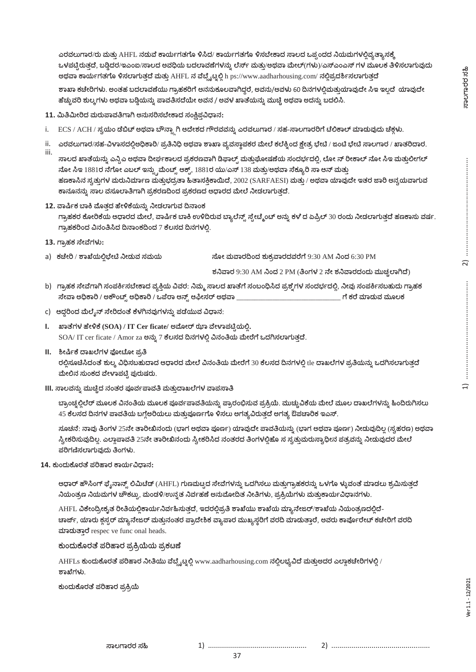ಎರವಲುಗಾರ/ರು ಮತ್ತು AHFL ನಡುವೆ ಕಾರ್ಯಗತಗೊ ಳಿಸಿದ/ ಕಾರ್ಯಗತಗೊ ಳಿಸಬೇಕಾದ ಸಾಲದ ಒಪ್ಪಂದದ ನಿಯಮಗಳಲ್ಲಿವ್ಯತ್ಯಾಸಕ್ಕೆ ಒಳಪಟ್ಟಿರುತ್ತದೆ, ಬಡ್ಡಿದರ/ಇಎಂಐ/ಸಾಲದ ಅವಧಿಯ ಬದಲಾವಣೆಗಳನ್ನು ಲೆರ್ಸ್ ಮತ್ತು/ಅಥವಾ ಮೇಲ್(ಗಳು)/ಎಸ್ಎಂಎಸ್ ಗಳ ಮೂಲಕ ತಿಳಿಸಲಾಗುವುದು ಅಥವಾ ಕಾರ್ಯಗತಗೊ ಳಿಸಲಾಗುತ್ತದೆ ಮತ್ತು AHFL ನ ವೆಬ್ಸೈಟ್ನಲ್ಲಿ h ps://www.aadharhousing.com/ ನಲ್ಲಿಪ್ರದರ್ಶಿಸಲಾಗುತ್ತದೆ ಶಾಖಾ ಕಚೇರಿಗಳು. ಅಂತಹ ಬದಲಾವಣೆಯು ಗ್ರಾಹಕರಿಗೆ ಅನನುಕೂಲವಾಗಿದ್ದರೆ, ಅವನು/ಅವಳು 60 ದಿನಗಳಲ್ಲಿಮತ್ತುಯಾವುದೇ ಸಿಇ ಇಲ್ಲದೆ ಯಾವುದೇ ಹೆಚ್ಚುವರಿ ಶುಲ್ಕಗಳು ಅಥವಾ ಬಡ್ಗಿಯನ್ನು ಪಾವತಿಸದೆಯೇ ಅವನ / ಅವಳ ಖಾತೆಯನ್ನು ಮುಚ್ಚಿ ಅಥವಾ ಅದನ್ನು ಬದಲಿಸಿ.

- 11. ಮಿತಿಮೀರಿದ ಮರುಪಾವತಿಗಾಗಿ ಅನುಸರಿಸಬೇಕಾದ ಸಂಕ್ಷಿಪ್ತವಿಧಾನ:
- i. ECS / ACH / ಸ್ವಯಂ ಡೆಬಿಟ್ ಅಥವಾ ಬೌನ್ಸ್ಟಾಗಿ ಆದೇಶದ ಗೌರವವನ್ನು ಎರವಲುಗಾರ / ಸಹ-ಸಾಲಗಾರರಿಗೆ ಟೆಲಿಕಾಲ್ ಮಾಡುವುದು ಚೆಕ್ಗಳು.
- ii. ಎರವಲುಗಾರ/ಸಹ-ವಿಳಾಸದಲ್ಲಿಅಧಿಕಾರಿ/ ಪ್ರತಿನಿಧಿ ಅಥವಾ ಶಾಖಾ ವ್ಯವಸ್ಥಾಪಕರ ಮೇಲೆ ಕಲೆಕ್ನಿಂದ ಕ್ಷೇತ್ರ ಭೇಟಿ / ಜಂಟಿ ಭೇಟಿ ಸಾಲಗಾರ / ಖಾತರಿದಾರ.

iii. ಸಾಲದ ಖಾತೆಯನ್ನು ಎನ್ಸಿಎ ಅಥವಾ ದೀರ್ಘಕಾಲದ ಪ್ರಕರಣವಾಗಿ ಡಿಫಾಲ್ಟ್ ಮತ್ತುಘೋಷಣೆಯ ಸಂದರ್ಭದಲ್ಲಿ, ಲೋ ನ್ ರೀಕಾಲ್ ನೋ ಸಿಇ ಮತ್ತುಲೀಗಲ್ 1881, 1881/138 / ಹಣಕಾಸಿನ ಸ್ವತ್ತುಗಳ ಮರುನಿರ್ಮಾಣ ಮತ್ತುಭದ್ರತಾ ಹಿತಾಸಕ್ತಿಕಾಯಿದೆ, 2002 (SARFAESI) ಮತ್ತು / ಅಥವಾ ಯಾವುದೇ ಇತರ ಜಾರಿ ಅನ್ವಯವಾಗುವ ಕಾನೂನನ್ನು ಸಾಲ ವಸೂಲಾತಿಗಾಗಿ ಪ್ರಕರಣದಿಂದ ಪ್ರಕರಣದ ಆಧಾರದ ಮೇಲೆ ನೀಡಲಾಗುತ್ತದೆ.

- 12. ವಾರ್ಷಿಕ ಬಾಕಿ ಮೊತ್ತದ ಹೇಳಿಕೆಯನ್ನು ನೀಡಲಾಗುವ ದಿನಾಂಕ ಗ್ರಾಹಕರ ಕೋರಿಕೆಯ ಆಧಾರದ ಮೇಲೆ, ವಾರ್ಷಿಕ ಬಾಕಿ ಉಳಿದಿರುವ ಬ್ಯಾಲೆನ್ಸ್ ಸ್ಟೇಟ್ಮೆಂಟ್ ಅನ್ನು ಕಳೆ ದ ಏಪ್ರಿಲ್ 30 ರಂದು ನೀಡಲಾಗುತ್ತದೆ ಹಣಕಾಸು ವರ್ಷ. ಗ್ರಾಹಕರಿಂದ ವಿನಂತಿಸಿದ ದಿನಾಂಕದಿಂದ 7 ಕೆಲಸದ ದಿನಗಳಲ್ಲಿ.
- 13. **ಗ್ರಾಹಕ ಸೇವೆಗಳು**:

a) ಕಚೇರಿ / ಶಾಖೆಯಲ್ಲಿಭೇಟಿ ನೀಡುವ ಸಮಯ ಸೋ ಮವಾರದಿಂದ ಶುಕ್ರವಾರದವರೆಗೆ 9:30 AM ನಿಂದ 6:30 PM

ಶನಿವಾರ 9:30 AM ನಿಂದ 2 PM (ತಿಂಗಳ 2 ನೇ ಶನಿವಾರದಂದು ಮುಚ್ಚಲಾಗಿದೆ)

- b) ಗ್ರಾಹಕ ಸೇವೆಗಾಗಿ ಸಂಪರ್ಕಿಸಬೇಕಾದ ವ್ಯಕ್ತಿಯ ವಿವರ: ನಿಮ್ಮ ಸಾಲದ ಖಾತೆಗೆ ಸಂಬಂಧಿಸಿದ ಪ್ರಶ್ನೆಗಳ ಸಂದರ್ಭದಲ್ಲಿ, ನೀವು ಸಂಪರ್ಕಿಸಬಹುದು ಗ್ರಾಹಕ  **/ /** \_\_\_\_\_\_\_\_\_\_\_\_\_\_\_\_\_\_\_\_\_\_\_\_\_\_\_\_\_
- c) ಆದ್ದರಿಂದ ಮೆಲೈನ್ ಸೇರಿದಂತೆ ಕೆಳಗಿನವುಗಳನ್ನು ಪಡೆಯುವ ವಿಧಾನ:
- I. ಖಾತೆಗಳ ಹೇಳಿಕೆ (SOA) / IT Cer ficate/ ಅಮೋರ್ ಝಾ ವೇಳಾಪಟ್ಗಿಯಲಿ.  $SOA/$  IT cer ficate / Amor za ಅನ್ನು 7 ಕೆಲಸದ ದಿನಗಳಲ್ಲಿ ವಿನಂತಿಯ ಮೇರೆಗೆ ಒದಗಿಸಲಾಗುತ್ತದೆ.
- **II.**

ರಲ್ಲಿಸೂಚಿಸಿದಂತೆ ಶುಲ್ಕ ವಿಧಿಸಬಹುದಾದ ಆಧಾರದ ಮೇಲೆ ವಿನಂತಿಯ ಮೇರೆಗೆ 30 ಕೆಲಸದ ದಿನಗಳಲ್ಲಿ tle ದಾಖಲೆಗಳ ಪ್ರತಿಯನ್ನು ಒದಗಿಸಲಾಗುತ್ತದೆ ಮೇಲಿನ ಸುಂಕದ ವೇಳಾಪಟ್ಟಿ ಪುರುಷರು.

**III.** 

ಬ್ರಾಂಚ್ರಲಿಲೆರ್ ಮೂಲಕ ವಿನಂತಿಯ ಮೂಲಕ ಪೂರ್ವಪಾವತಿಯನ್ನು ಪ್ರಾರಂಭಿಸುವ ಪ್ರಕ್ರಿಯೆ. ಮುಚ್ಚುವಿಕೆಯ ಮೇಲೆ ಮೂಲ ದಾಖಲೆಗಳನ್ನು ಹಿಂದಿರುಗಿಸಲು 45 ಕೆಲಸದ ದಿನಗಳ ಪಾವತಿಯ ಬಗ್ಗೆಅರಿಯಲು ಮತುಪೂರ್ಣಗೊ ಳಿಸಲು ಅಗತ್ಯವಿರುತದೆ ಅಗತ್ಯ ಔಪಚಾರಿಕ ಇಎಸ್.

ಸೂಚನೆ: ನಾವು ತಿಂಗಳ 25ನೇ ತಾರೀಖಿನಂದು (ಭಾಗ ಅಥವಾ ಪೂರ್ಣ) ಯಾವುದೇ ಪಾವತಿಯನ್ನು (ಭಾಗ ಅಥವಾ ಪೂರ್ಣ) ನೀಡುವುದಿಲ್ಲ (ಸ್ವಹರಣ) ಅಥವಾ ಸ್ವೀಕರಿಸುವುದಿಲ್ಲ. ಎಲ್ಲಾಪಾವತಿ 25ನೇ ತಾರೀಖಿನಂದು ಸ್ವೀಕರಿಸಿದ ನಂತರದ ತಿಂಗಳಲ್ಲಿಹೊ ಸ ಸ್ವತ್ತುಮರುಸ್ವಾಧೀನ ಪತ್ರವನ್ನು ನೀಡುವುದರ ಮೇಲೆ .

14. ಕುಂದುಕೊರತೆ ಪರಿಹಾರ ಕಾರ್ಯವಿಧಾನ:

ಆಧಾರ್ ಹೌಸಿಂಗ್ ಫೈನಾನ್ಸ್ ಲಿಮಿಟೆಡ್ (AHFL) ಗುಣಮಟ್ಟದ ಸೇವೆಗಳನ್ನು ಒದಗಿಸಲು ಮತ್ತುಗ್ರಾಹಕರನ್ನು ಒಳಗೊ ಳ್ಳುವಂತೆ ಮಾಡಲು ಶ್ರಮಿಸುತ್ತದೆ ನಿಯಂತ್ರಣ ನಿಯಮಗಳ ಚೌಕಟ್ಟು, ಮಂಡಳಿ/ಉನ್ನತ ನಿರ್ವಹಣೆ ಅನುಮೋದಿತ ನೀತಿಗಳು, ಪ್ರಕ್ರಿಯೆಗಳು ಮತ್ತುಕಾರ್ಯವಿಧಾನಗಳು.

AHFL ವಿಕೇಂದ್ರೀಕೃತ ರೀತಿಯಲ್ಲಿಕಾರ್ಯನಿರ್ವಹಿಸುತ್ತದೆ, ಇದರಲ್ಲಿಪ್ರತಿ ಶಾಖೆಯು ಶಾಖೆಯ ಮ್ಯಾನೇಜರ್/ಶಾಖೆಯ ನಿಯಂತ್ರಣದಲ್ಲಿದೆ-ಚಾರ್ಜ್, ಯಾರು ಕ್ಲಸ್ಟರ್ ಮ್ಯಾನೇಜರ್ ಮತ್ತುನಂತರ ಪ್ರಾದೇಶಿಕ ವ್ಯಾಪಾರ ಮುಖ್ಯಸ್ಥರಿಗೆ ವರದಿ ಮಾಡುತ್ತಾರೆ, ಅವರು ಕಾರ್ಪೊರೇಟ್ ಕಚೇರಿಗೆ ವರದಿ ಮಾಡುತ್ತಾರೆ respec ve func onal heads.

ಕುಂದುಕೊರತೆ ಪರಿಹಾರ ಪ್ರಕ್ರಿಯೆಯ ಪ್ರಕ<mark>ಟ</mark>ಣೆ

AHFLs ಕುಂದುಕೊರತೆ ಪರಿಹಾರ ನೀತಿಯು ವೆಬ್ಸೈಟ್ನಲ್ಲಿ www.aadharhousing.com ನಲ್ಲಿಲಭ್ಯವಿದೆ ಮತ್ತುಅದರ ಎಲ್ಲಾಕಚೇರಿಗಳಲ್ಲಿ / .

ಕುಂದುಕೊರತೆ ಪರಿಹಾರ ಪ್ರಕ್ರಿಯೆ

ಸಾಲಗಾರರ ಸಹಿ

2)

 $\overline{u}$ 

2) .................................................

37

1) .................................................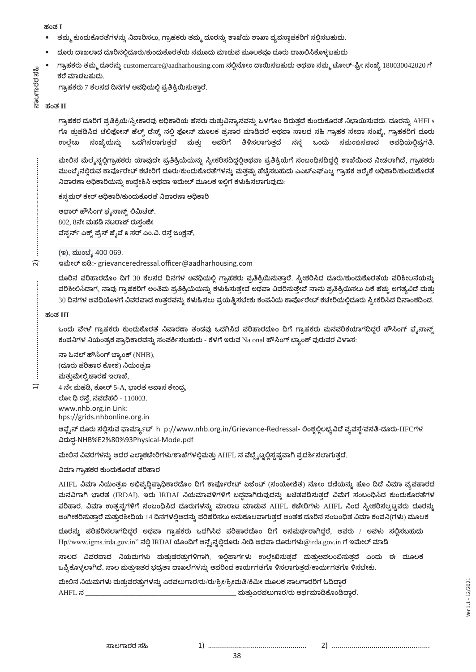ಹಂತ I

- $\bullet$ ತಮ್ಮ ಕುಂದುಕೊರತೆಗಳನ್ನು ನಿವಾರಿಸಲು, ಗ್ರಾಹಕರು ತಮ್ಮ ದೂರನ್ನು ಶಾಖೆಯ ಶಾಖಾ ವ್ಯವಸ್ಥಾಪಕರಿಗೆ ಸಲ್ಲಿಸಬಹುದು.
- ದೂರು ದಾಖಲಾದ ದೂರಿನಲ್ಲಿದೂರು/ಕುಂದುಕೊರತೆಯ ನಮೂದು ಮಾಡುವ ಮೂಲಕವೂ ದೂರು ದಾಖಲಿಸಿಕೊಳ್ಳಬಹುದು
- ಗ್ರಾಹಕರು ತಮ್ಮ ದೂರನ್ನು customercare@aadharhousing.com ನಲ್ಲಿನೋಂ ದಾಯಿಸಬಹುದು ಅಥವಾ ನಮ್ಮ ಟೋಲ್-ಫ್ರೀ ಸಂಖ್ಯೆ 180030042020 ಗೆ ಕರೆ ಮಾಡಬಹುದು. ಸಾಲಗಾರರ
	- ಗ್ರಾಹಕರು 7 ಕೆಲಸದ ದಿನಗಳ ಅವಧಿಯಲ್ಲಿ ಪ್ರತಿಕ್ರಿಯಿಸುತ್ತಾರೆ.

### ಹಂತ II

နိ

ಗ್ರಾಹಕರ ದೂರಿಗೆ ಪ್ರತಿಕ್ರಿಯೆ/ಸ್ವೀಕಾರವು ಅಧಿಕಾರಿಯ ಹೆಸರು ಮತ್ತುವಿನ್ಯಾಸವನ್ನು ಒಳಗೊಂ ಡಿರುತ್ತದೆ ಕುಂದುಕೊರತೆ ನಿಭಾಯಿಸುವರು. ದೂರನ್ನು AHFLs ಗೂ ತ್ತುಪಡಿಸಿದ ಟೆಲಿಫೋನ್ ಹೆಲ್ಸ್ ಡೆಸ್ಕ್ ನಲ್ಲಿ ಫೋನ್ ಮೂಲಕ ಪ್ರಸಾರ ಮಾಡಿದರೆ ಅಥವಾ ಸಾಲದ ಸಹಿ ಗ್ರಾಹಕ ಸೇವಾ ಸಂಖ್ಯೆ, ಗ್ರಾಹಕರಿಗೆ ದೂರು ಉಲ್ಲೇಖ ಸಂಖ್ಯೆಯನ್ನು ಒದಗಿಸಲಾಗುತ್ತದೆ ಮತ್ತು ಅವರಿಗೆ ತಿಳಿಸಲಾಗುತ್ತದೆ ನನ್ನ ಒಂದು ಸಮಂಜಸವಾದ ಅವಧಿಯಲ್ಲಿಪ್ರಗತಿ.

ಮೇಲಿನ ಮೆಲ್ಶೆನ್ನಲ್ಲಿಗ್ರಾಹಕರು ಯಾವುದೇ ಪ್ರತಿಕ್ರಿಯೆಯನ್ನು ಸ್ವೀಕರಿಸದಿದ್ದಲ್ಲಿಅಥವಾ ಪ್ರತಿಕ್ರಿಯೆಗೆ ಸಂಬಂಧಿಸದಿದ್ದಲ್ಲಿ ಶಾಖೆಯಿಂದ ನೀಡಲಾಗಿದೆ, ಗ್ರಾಹಕರು ಮುಂಬೈನಲ್ಲಿರುವ ಕಾರ್ಪೊರೇಟ್ ಕಚೇರಿಗೆ ದೂರು/ಕುಂದುಕೊರತೆಗಳನ್ನು ಮತ್ತಷ್ಟು ಹೆಚ್ಚಿಸಬಹುದು ಎಎಚ್ಎಫ್ಎಲ್ನ ಗ್ರಾಹಕ ಆರ್ರೈಕೆ ಅಧಿಕಾರಿ/ಕುಂದುಕೊರತೆ ನಿವಾರಣಾ ಅಧಿಕಾರಿಯನ್ನು ಉದ್ದೇಶಿಸಿ ಅಥವಾ ಇಮೇಲ್ ಮೂಲಕ ಇಲಿಗೆ ಕಳುಹಿಸಲಾಗುವುದು:

ಕಸ್ಸಮರ್ ಕೇರ್ ಅಧಿಕಾರಿ/ಕುಂದುಕೊರತೆ ನಿವಾರಣಾ ಅಧಿಕಾರಿ

ಆಧಾರ್ ಹೌಸಿಂಗ್ ಫೈನಾನ್ಸ್ ಲಿಮಿಟೆಡ್. 802, 8ನೇ ಮಹಡಿ ನಟರಾಜ್ ರುಸ್ತಂಜೀ ವೆಸ್ಟರ್ನ್ ಎಕ್ಸ್ ಪ್ರೆಸ್ ಹೈವೆ & ಸರ್ ಎಂ.ವಿ. ರಸ್ತೆ ಜಂಕ್ಷನ್,

(ಇ), ಮುಂಬ್ಯೆ 400 069.

#### ಇಮೇಲ್ ಐಡಿ:- grievanceredressal.officer@aadharhousing.com

ದೂರಿನ ಪರಿಹಾರದೊಂ ದಿಗೆ 30 ಕೆಲಸದ ದಿನಗಳ ಅವಧಿಯಲ್ಲಿ ಗ್ರಾಹಕರು ಪ್ರತಿಕ್ರಿಯಿಸುತ್ತಾರೆ. ಸ್ವೀಕರಿಸಿದ ದೂರು/ಕುಂದುಕೊರತೆಯ ಪರಿಶೀಲನೆಯನ್ನು ಪರಿಶೀಲಿಸಿದಾಗ, ನಾವು ಗ್ರಾಹಕರಿಗೆ ಅಂತಿಮ ಪ್ರತಿಕ್ರಿಯೆಯನ್ನು ಕಳುಹಿಸುತ್ತೇವೆ ಅಥವಾ ವಿವರಿಸುತ್ತೇವೆ ನಾನು ಪ್ರತಿಕ್ರಿಯಿಸಲು ಏಕೆ ಹೆಚ್ಚು ಅಗತ್ಯವಿದೆ ಮತ್ತು 30 ದಿನಗಳ ಅವಧಿಯೊಳಗೆ ವಿವರವಾದ ಉತ್ತರವನ್ನು ಕಳುಹಿಸಲು ಪ್ರಯತ್ತಿಸಬೇಕು ಕಂಪನಿಯ ಕಾರ್ಪೊರೇಟ್ ಕಚೇರಿಯಲ್ಲಿದೂರು ಸ್ವೀಕರಿಸಿದ ದಿನಾಂಕದಿಂದ.

#### ಹಂತ III

ŧ

 $\widehat{z}$ 

÷  $\widehat{H}$  ಒಂದು ವೇಳೆ ಗ್ರಾಹಕರು ಕುಂದುಕೊರತೆ ನಿವಾರಣಾ ತಂಡವು ಒದಗಿಸಿದ ಪರಿಹಾರದೊಂ ದಿಗೆ ಗ್ರಾಹಕರು ಮನವರಿಕೆಯಾಗದಿದ್ದರೆ ಹೌಸಿಂಗ್ ಫೈನಾನ್ಸ್ ಕಂಪನಿಗಳ ನಿಯಂತ್ರಕ ಪ್ರಾಧಿಕಾರವನ್ನು ಸಂಪರ್ಕಿಸಬಹುದು - ಕೆಳಗೆ ಇರುವ Na onal ಹೌಸಿಂಗ್ ಬ್ಯಾಂಕ್ ಪುರುಷರ ವಿಳಾಸ:

ನಾ ಓನಲ್ ಹೌಸಿಂಗ್ ಬ್ಯಾಂಕ್ (NHB), (ದೂರು ಪರಿಹಾರ ಕೋಶ) ನಿಯಂತ್ರಣ ಮತ್ತುಮೇಲ್ವಿಚಾರಣೆ ಇಲಾಖೆ,  $4$  ನೇ ಮಹಡಿ, ಕೋರ್ 5-A, ಭಾರತ ಆವಾಸ ಕೇಂದ್ರ,

ಲೋ ಧಿ ರಸ್ತೆ, ನವದೆಹಲಿ - 110003.

www.nhb.org.in Link:

hps://grids.nhbonline.org.in

ಆಫ್ಟೆನ್ ದೂರು ಸಲ್ಲಿಸುವ ಫಾರ್ಮ್ಯಾಟ್ h p://www.nhb.org.in/Grievance-Redressal- ಲಿಂಕ್ನಲ್ಲಿಲಭ್ಯವಿದೆ ವ್ಯವಸ್ಥೆ/ವಸತಿ-ದೂರು-HFCಗಳ ವಿರುದ್ಧ-NHB%E2%80%93Physical-Mode.pdf

ಮೇಲಿನ ವಿವರಗಳನ್ನು ಅದರ ಎಲ್ಲಾಕಚೇರಿಗಳು/ಶಾಖೆಗಳಲ್ಲಿಮತ್ತು AHFL ನ ವೆಬ್ಸೈಟ್ನಲ್ಲಿಸ್ಪಷ್ಟವಾಗಿ ಪ್ರದರ್ಶಿಸಲಾಗುತ್ತದೆ.

#### ವಿಮಾ ಗ್ರಾಹಕರ ಕುಂದುಕೊರತೆ ಪರಿಹಾರ

AHFL ವಿಮಾ ನಿಯಂತ್ರಣ ಅಭಿವೃದ್ಧಿಪ್ರಾಧಿಕಾರದೊಂ ದಿಗೆ ಕಾರ್ಪೊರೇಟ್ ಏಜೆಂಟ್ (ಸಂಯೋಜಿತ) ನೋಂ ದಣಿಯನ್ನು ಹೊಂ ದಿದೆ ವಿಮಾ ವ್ಯವಹಾರದ ಮನವಿಗಾಗಿ ಭಾರತ (IRDAI). ಇದು IRDAI ನಿಯಮಾವಳಿಗಳಿಗೆ ಬದ್ಧವಾಗಿರುವುದನ್ನು ಖಚಿತಪಡಿಸುತ್ತದೆ ವಿಮೆಗೆ ಸಂಬಂಧಿಸಿದ ಕುಂದುಕೊರತೆಗಳ ಪರಿಹಾರ. ವಿಮಾ ಉತ್ಪನ್ನಗಳಿಗೆ ಸಂಬಂಧಿಸಿದ ದೂರುಗಳನ್ನು ಮಾರಾಟ ಮಾಡುವ AHFL ಕಚೇರಿಗಳು AHFL ನಿಂದ ಸ್ವೀಕರಿಸಲ್ಪಟ್ಟವರು ದೂರನ್ನು ಅಂಗೀಕರಿಸುತ್ತಾರೆ ಮತ್ತುರಶೀದಿಯ 14 ದಿನಗಳಲ್ಲಿಅದನ್ನು ಪರಿಹರಿಸಲು ಅನುಕೂಲವಾಗುತ್ತದೆ ಅಂತಹ ದೂರಿನ ಸಂಬಂಧಿತ ವಿಮಾ ಕಂಪನಿ(ಗಳು) ಮೂಲಕ

ದೂರನ್ನು ಪರಿಹರಿಸಲಾಗದಿದ್ದರೆ ಅಥವಾ ಗ್ರಾಹಕರು ಒದಗಿಸಿದ ಪರಿಹಾರದೊಂ ದಿಗೆ ಅಸಮರ್ಥರಾಗಿದ್ದರೆ, ಅವರು / ಅವಳು ಸಲ್ಲಿಸಬಹುದು  $\rm Hp/\rm www. igms. irda.gov.in''$  ನಲ್ಲಿ IRDAI ಯೊಂದಿಗೆ ಆನ್ಲೈನ್ನಲ್ಲಿದೂರು ನೀಡಿ ಅಥವಾ ದೂರುಗಳು $\circledR$ irda.gov.in ಗೆ ಇಮೇಲ್ ಮಾಡಿ

ಸಾಲದ ವಿವರವಾದ ನಿಯಮಗಳು ಮತುಷರತುಗಳಿಗಾಗಿ, ಇಲಿಪಾರ್ಗಳು ಉಲೇಖಿಸುತವೆ ಮತುಅವಲಂಬಿಸುತವೆ ಎಂದು ಈ ಮೂಲಕ ಒಪ್ಪಿಕೊಳ್ಳಲಾಗಿದೆ. ಸಾಲ ಮತ್ತುಇತರ ಭದ್ರತಾ ದಾಖಲೆಗಳನ್ನು ಅವರಿಂದ ಕಾರ್ಯಗತಗೊ ಳಿಸಲಾಗುತ್ತದೆ/ಕಾರ್ಯಗತಗೊ ಳಿಸಬೇಕು.

38

ಮೇಲಿನ ನಿಯಮಗಳು ಮತ್ತುಷರತ್ತುಗಳನ್ನು ಎರವಲುಗಾರ/ರು/ರು/ಶ್ರೀ/ಶ್ರೀಮತಿ/ಕಿಮೀ ಮೂಲಕ ಸಾಲಗಾರರಿಗೆ ಓದಿದ್ದಾರೆ AHFL ನ \_ ಮತ್ತುಎರವಲುಗಾರ/ರು ಅರ್ಥಮಾಡಿಕೊಂಡಿದ್ದಾರೆ.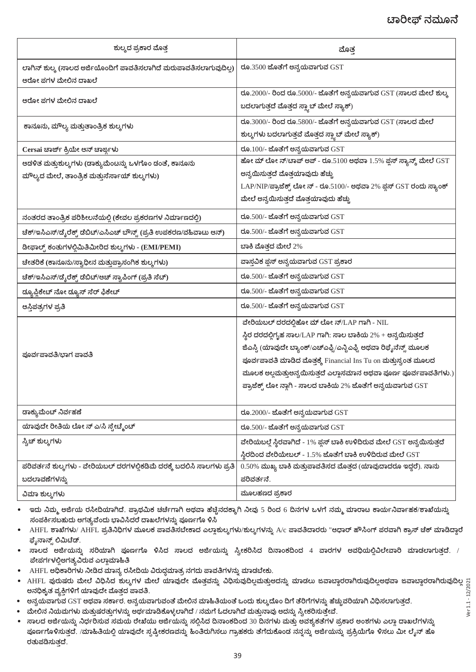### ಟಾರೀಫ್ ನಮೂನೆ

| ಶುಲ್ಕದ ಪ್ರಕಾರ ಮೊತ್ತ                                                                                     | ಮೊತ್ತ                                                                                                                                                                                                                                                                                                                                                                             |
|---------------------------------------------------------------------------------------------------------|-----------------------------------------------------------------------------------------------------------------------------------------------------------------------------------------------------------------------------------------------------------------------------------------------------------------------------------------------------------------------------------|
| ಲಾಗಿನ್ ಶುಲ್ಕ (ಸಾಲದ ಅರ್ಜಿಯೊಂದಿಗೆ ಪಾವತಿಸಲಾಗಿದೆ ಮರುಪಾವತಿಸಲಾಗುವುದಿಲ್ಲ)<br>ಆರೋ ಪಗಳ ಮೇಲಿನ ದಾಖಲೆ               | ರೂ.3500 ಜೊತೆಗೆ ಅನ್ವಯವಾಗುವ GST                                                                                                                                                                                                                                                                                                                                                     |
| ಆರೋ ಪಗಳ ಮೇಲಿನ ದಾಖಲೆ                                                                                     | ರೂ.2000/- ರಿಂದ ರೂ.5000/- ಜೊತೆಗೆ ಅನ್ವಯವಾಗುವ GST (ಸಾಲದ ಮೇಲೆ ಶುಲ್ಕ<br>ಬದಲಾಗುತ್ತದೆ ಮೊತ್ತದ ಸ್ಲ್ಯಾಬ್ ಮೇಲೆ ಸ್ಯಾಕ್)                                                                                                                                                                                                                                                                       |
| ಕಾನೂನು, ಮೌಲ್ಯ ಮತ್ತುತಾಂತ್ರಿಕ ಶುಲ್ಕಗಳು                                                                    | ರೂ.3000/- ರಿಂದ ರೂ.5800/- ಜೊತೆಗೆ ಅನ್ವಯವಾಗುವ GST (ಸಾಲದ ಮೇಲೆ<br>ಶುಲ್ಕಗಳು ಬದಲಾಗುತ್ತವೆ ಮೊತ್ತದ ಸ್ಲ್ಯಾಬ್ ಮೇಲೆ ಸ್ಯಾಕ್)                                                                                                                                                                                                                                                                    |
| Cersai ಚಾರ್ಜ್ ಕ್ರಿಯೇ ಆನ್ ಚಾರ್ಜ್ಗಳು                                                                      | ರೂ. $100/$ - ಜೊತೆಗೆ ಅನ್ವಯವಾಗುವ $GST$                                                                                                                                                                                                                                                                                                                                              |
| ಆಡಳಿತ ಮತ್ತುಶುಲ್ಕಗಳು (ಡಾಕ್ಯುಮೆಂಟನ್ನು ಒಳಗೊಂ ಡಂತೆ, ಕಾನೂನು<br>ಮೌಲ್ಯದ ಮೇಲೆ, ತಾಂತ್ರಿಕ ಮತ್ತುಸೆರ್ಸಾಯ್ ಶುಲ್ಕಗಳು) | ಹೋ ಮ್ ಲೋ ನ್/ಟಾಪ್ ಅಪ್ - ರೂ.5100 ಅಥವಾ 1.5% ಪ್ಲಸ್ ಸ್ಯಾನ್ಸ್ ಮೇಲೆ GST<br>ಅನ್ವಯಿಸುತ್ತದೆ ಮೊತ್ತಯಾವುದು ಹೆಚ್ಚು<br>LAP/NIP/ಪ್ರಾಜೆಕ್ಸ್ ಲೋನ್ - ರೂ.5100/- ಅಥವಾ 2% ಪ್ಲಸ್ GST ರಂದು ಸ್ಯಾಂಕ್<br>ಮೇಲೆ ಅನ್ವಯಿಸುತ್ತದೆ ಮೊತ್ತಯಾವುದು ಹೆಚ್ಚು                                                                                                                                                               |
| ನಂತರದ ತಾಂತ್ರಿಕ ಪರಿಶೀಲನೆಯಲ್ಲಿ (ಕೇವಲ ಪ್ರಕರಣಗಳ ನಿರ್ಮಾಣದಲ್ಲಿ)                                               | ರೂ.500/- ಜೊತೆಗೆ ಅನ್ವಯವಾಗುವ $GST$                                                                                                                                                                                                                                                                                                                                                  |
| ಚೆಕ್/ಇಸಿಎಸ್/ಡೈರೆಕ್ಟ್ ಡೆಬಿಟ್/ಎಸಿಎಚ್ ಬೌನ್ಸ್ (ಪ್ರತಿ ಉಪಕರಣ/ವಹಿವಾಟು ಆನ್)                                     | ರೂ.500/- ಜೊತೆಗೆ ಅನ್ವಯವಾಗುವ $GST$                                                                                                                                                                                                                                                                                                                                                  |
| ಡೀಫಾಲ್ಟ್ ಕಂತುಗಳಲ್ಲಿಮಿತಿಮೀರಿದ ಶುಲ್ಕಗಳು - (EMI/PEMI)                                                      | ಬಾಕಿ ಮೊತ್ತದ ಮೇಲೆ 2%                                                                                                                                                                                                                                                                                                                                                               |
| ಚೇತರಿಕೆ (ಕಾನೂನು/ಸ್ವಾಧೀನ ಮತ್ತುಪ್ರಾಸಂಗಿಕ ಶುಲ್ಕಗಳು)                                                        | ವಾಸ್ತವಿಕ ಪ್ಲಸ್ ಅನ್ವಯವಾಗುವ GST ಪ್ರಕಾರ                                                                                                                                                                                                                                                                                                                                              |
| ಚೆಕ್/ಇಸಿಎಸ್/ಡೈರೆಕ್ಟ್ ಡೆಬಿಟ್/ಆಚ್ ಸ್ವಾಪಿಂಗ್ (ಪ್ರತಿ ಸೆಟ್)                                                  | ರೂ.500/- ಜೊತೆಗೆ ಅನ್ವಯವಾಗುವ $\operatorname{GST}$                                                                                                                                                                                                                                                                                                                                   |
| ಡ್ಯೂಪ್ಲಿಕೇಟ್ ನೋ ಡ್ಯೂಸ್ ಸೆರ್ ಫಿಕೇಟ್                                                                      | ರೂ.500/- ಜೊತೆಗೆ ಅನ್ವಯವಾಗುವ GST                                                                                                                                                                                                                                                                                                                                                    |
| ಆಸ್ತಿಪತ್ರಗಳ ಪ್ರತಿ                                                                                       | ರೂ.500/- ಜೊತೆಗೆ ಅನ್ವಯವಾಗುವ GST                                                                                                                                                                                                                                                                                                                                                    |
| ಪೂರ್ವಪಾವತಿ/ಭಾಗ ಪಾವತಿ                                                                                    | ವೇರಿಯಬಲ್ ದರದಲ್ಲಿಹೋ ಮ್ ಲೋ ನ್/LAP ಗಾಗಿ - NIL<br>ಸ್ಥಿರ ದರದಲ್ಲಿಗೃಹ ಸಾಲ/LAP ಗಾಗಿ: ಸಾಲ ಬಾಕಿಯ 2% + ಅನ್ವಯಿಸುತ್ತದೆ<br>ಜಿಎಸ್ವಿ (ಯಾವುದೇ ಬ್ಯಾಂಕ್/ಎಚ್ಎಫ್ಸಿ/ಎನ್ಬಿಎಫ್ಸಿ ಅಥವಾ ರಿಫೈನೆನ್ಸ್ ಮೂಲಕ<br>ಪೂರ್ವಪಾವತಿ ಮಾಡಿದ ಮೊತ್ತಕ್ಕೆ Financial Ins Tu on ಮತ್ತುಸ್ವಂತ ಮೂಲದ<br>ಮೂಲಕ ಅಲ್ಲಮತ್ತುಅನ್ವಯಿಸುತ್ತದೆ ಎಲ್ಲಾಸಮಾನ ಅಥವಾ ಪೂರ್ಣ ಪೂರ್ವಪಾವತಿಗಳು.)<br>ಪ್ರಾಜೆಕ್ಟ್ ಲೋ ನ್ಗಾಗಿ - ಸಾಲದ ಬಾಕಿಯ 2% ಜೊತೆಗೆ ಅನ್ವಯವಾಗುವ GST |
| ಡಾಕ್ಯುಮೆಂಟ್ ನಿರ್ವಹಣೆ                                                                                    | ರೂ.2000/- ಜೊತೆಗೆ ಅನ್ವಯವಾಗುವ $\operatorname{GST}$                                                                                                                                                                                                                                                                                                                                  |
| ಯಾವುದೇ ರೀತಿಯ ಲೋ ನ್ ಎ/ಸಿ ಸ್ವೇಟ್ಮೆಂಟ್                                                                     | ರೂ.500/- ಜೊತೆಗೆ ಅನ್ವಯವಾಗುವ $GST$                                                                                                                                                                                                                                                                                                                                                  |
| ಸ್ವಿಚ್ ಶುಲ್ಕಗಳು                                                                                         | ವೇರಿಯಬಲ್ಗೆ ಸ್ಥಿರವಾಗಿದೆ - 1% ಪ್ಲಸ್ ಬಾಕಿ ಉಳಿದಿರುವ ಮೇಲೆ GST ಅನ್ವಯಿಸುತ್ತದೆ<br>ಸ್ಥಿರದಿಂದ ವೇರಿಯೇಬಲ್ - $1.5\%$ ಜೊತೆಗೆ ಬಾಕಿ ಉಳಿದಿರುವ ಮೇಲೆ $\operatorname{GST}$                                                                                                                                                                                                                            |
| ಪರಿವರ್ತನೆ ಶುಲ್ಕಗಳು - ವೇರಿಯಬಲ್ ದರಗಳಲ್ಲಿಕಡಿಮೆ ದರಕ್ಕೆ ಬದಲಿಸಿ ಸಾಲಗಳು ಪ್ರತಿ<br>ಬದಲಾವಣೆಗಳನ್ನು                 | $0.50\%$ ಮುಖ್ಯ ಬಾಕಿ ಮತ್ತುಪಾವತಿಸದ ಮೊತ್ತದ (ಯಾವುದಾದರೂ ಇದ್ದರೆ). ನಾನು<br>ಪರಿವರ್ತನೆ.                                                                                                                                                                                                                                                                                                    |
| ವಿಮಾ ಶುಲ್ಕಗಳು                                                                                           | ಮೂಲಹಣದ ಪ್ರಕಾರ                                                                                                                                                                                                                                                                                                                                                                     |

ಇದು ನಿಮ್ಮ ಅರ್ಜಿಯ ರಸೀದಿಯಾಗಿದೆ. ಪ್ರಾಥಮಿಕ ಚರ್ಚೆಗಾಗಿ ಅಥವಾ ಹೆಚ್ಚಿನದಕ್ಕಾಗಿ ನೀವು 5 ರಿಂದ 6 ದಿನಗಳ ಒಳಗೆ ನಮ್ಮ ಮಾರಾಟ ಕಾರ್ಯನಿರ್ವಾಹಕ/ಶಾಖೆಯನ್ನು ಸಂಪರ್ಕಿಸಬಹುದು ಅಗತ್ಯವೆಂದು ಭಾವಿಸಿದರೆ ದಾಖಲೆಗಳನ್ನು ಪೂರ್ಣಗೊ ಳಿಸಿ

- AHFL ಶಾಖೆಗಳು/ AHFL ಪ್ರತಿನಿಧಿಗಳ ಮೂಲಕ ಪಾವತಿಸಬೇಕಾದ ಎಲ್ಲಾಶುಲ್ಕಗಳು/ಶುಲ್ಕಗಳನ್ನು A/c ಪಾವತಿದಾರರು "ಆಧಾರ್ ಹೌಸಿಂಗ್ ಪರವಾಗಿ ಕ್ರಾಸ್ ಚೆಕ್ ಮಾಡಿದ್ದಾರೆ ಫೈನಾನ್ಸ್ ಲಿಮಿಟೆಡ್.
- ಸಾಲದ ಅರ್ಜಿಯನ್ನು ಸರಿಯಾಗಿ ಪೂರ್ಣಗೊ ಳಿಸಿದ ಸಾಲದ ಅರ್ಜಿಯನ್ನು ಸ್ವೀಕರಿಸಿದ ದಿನಾಂಕದಿಂದ 4 ವಾರಗಳ ಅವಧಿಯಲ್ಲಿವಿಲೇವಾರಿ ಮಾಡಲಾಗುತ್ತದೆ. /
- AHFL ಅಧಿಕಾರಿಗಳು ನೀಡಿದ ಮಾನ್ಯ ರಸೀದಿಯ ವಿರುದ್ಧಮಾತ್ರ ನಗದು ಪಾವತಿಗಳನ್ನು ಮಾಡಬೇಕು.
- Ver 1.1 12/2021 • AHFL ಅನಧಿಕೃತ ವ್ಯಕ್ತಿಗಳಿಗೆ ಯಾವುದೇ ಮೊತ್ತದ ಪಾವತಿ.
- ಅನ್ವಯವಾಗುವ GST ಅಥವಾ ಸರ್ಕಾರ. ಅನ್ವಯವಾಗುವಂತೆ ಮೇಲಿನ ಮಾಹಿತಿಯಂತೆ ಒಂದು ಶುಲ್ಕದೊಂ ದಿಗೆ ತೆರಿಗೆಗಳನ್ನು ಹೆಚ್ಚುವರಿಯಾಗಿ ವಿಧಿಸಲಾಗುತ್ತದೆ.
- ಮೇಲಿನ ನಿಯಮಗಳು ಮತ್ತುಷರತ್ತುಗಳನ್ನು ಅರ್ಥಮಾಡಿಕೊಳ್ಳಲಾಗಿದೆ / ನಮಗೆ ಓದಲಾಗಿದೆ ಮತ್ತುನಾವು ಅದನ್ನು ಸ್ವೀಕರಿಸುತ್ತೇವೆ.
- $\bar{a}$ ಾಲದ ಅರ್ಜಿಯನ್ನು ನಿರ್ಧರಿಸುವ ಸಮಯ ರೇಖೆಯು ಅರ್ಜಿಯನ್ನು ಸಲ್ಲಿಸಿದ ದಿನಾಂಕದಿಂದ 30 ದಿನಗಳು ಮತ್ತು ಅವಶ್ಯಕತೆಗಳ ಪ್ರಕಾರ ಅಂಶಗಳು ಎಲ್ಲಾ ದಾಖಲೆಗಳನ್ನು ಪೂರ್ಣಗೊಳಿಸುತ್ತದೆ. /ಮಾಹಿತಿಯಲ್ಲಿ ಯಾವುದೇ ಸೃಷ್ಟೀಕರಣವನ್ನು ಹಿಂತಿರುಗಿಸಲು ಗ್ರಾಹಕರು ತೆಗೆದುಕೊಂಡ ನನ್ನನ್ನು ಅರ್ಜಿಯನ್ನು ಪ್ರಕ್ರಿಯೆಗೊ ಳಿಸಲು ಮೀ ಲೈನ್ ಹೊ .